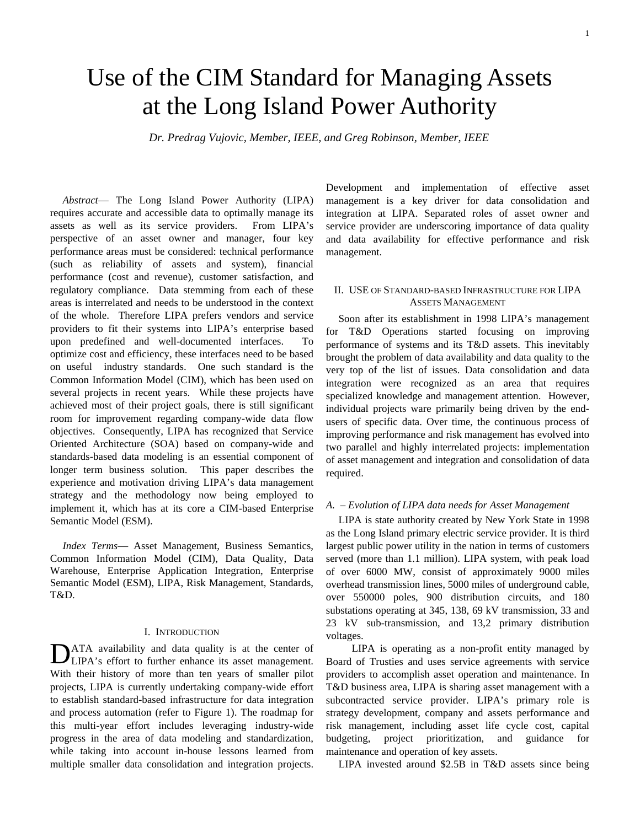1

# Use of the CIM Standard for Managing Assets at the Long Island Power Authority

*Dr. Predrag Vujovic, Member, IEEE, and Greg Robinson, Member, IEEE* 

*Abstract*— The Long Island Power Authority (LIPA) requires accurate and accessible data to optimally manage its assets as well as its service providers. From LIPA's perspective of an asset owner and manager, four key performance areas must be considered: technical performance (such as reliability of assets and system), financial performance (cost and revenue), customer satisfaction, and regulatory compliance. Data stemming from each of these areas is interrelated and needs to be understood in the context of the whole. Therefore LIPA prefers vendors and service providers to fit their systems into LIPA's enterprise based upon predefined and well-documented interfaces. To optimize cost and efficiency, these interfaces need to be based on useful industry standards. One such standard is the Common Information Model (CIM), which has been used on several projects in recent years. While these projects have achieved most of their project goals, there is still significant room for improvement regarding company-wide data flow objectives. Consequently, LIPA has recognized that Service Oriented Architecture (SOA) based on company-wide and standards-based data modeling is an essential component of longer term business solution. This paper describes the experience and motivation driving LIPA's data management strategy and the methodology now being employed to implement it, which has at its core a CIM-based Enterprise Semantic Model (ESM).

*Index Terms*— Asset Management, Business Semantics, Common Information Model (CIM), Data Quality, Data Warehouse, Enterprise Application Integration, Enterprise Semantic Model (ESM), LIPA, Risk Management, Standards, T&D.

## I. INTRODUCTION

ATA availability and data quality is at the center of DATA availability and data quality is at the center of LIPA's effort to further enhance its asset management. With their history of more than ten years of smaller pilot projects, LIPA is currently undertaking company-wide effort to establish standard-based infrastructure for data integration and process automation (refer to Figure 1). The roadmap for this multi-year effort includes leveraging industry-wide progress in the area of data modeling and standardization, while taking into account in-house lessons learned from multiple smaller data consolidation and integration projects.

Development and implementation of effective asset management is a key driver for data consolidation and integration at LIPA. Separated roles of asset owner and service provider are underscoring importance of data quality and data availability for effective performance and risk management.

# II. USE OF STANDARD-BASED INFRASTRUCTURE FOR LIPA ASSETS MANAGEMENT

Soon after its establishment in 1998 LIPA's management for T&D Operations started focusing on improving performance of systems and its T&D assets. This inevitably brought the problem of data availability and data quality to the very top of the list of issues. Data consolidation and data integration were recognized as an area that requires specialized knowledge and management attention. However, individual projects ware primarily being driven by the endusers of specific data. Over time, the continuous process of improving performance and risk management has evolved into two parallel and highly interrelated projects: implementation of asset management and integration and consolidation of data required.

#### *A. – Evolution of LIPA data needs for Asset Management*

LIPA is state authority created by New York State in 1998 as the Long Island primary electric service provider. It is third largest public power utility in the nation in terms of customers served (more than 1.1 million). LIPA system, with peak load of over 6000 MW, consist of approximately 9000 miles overhead transmission lines, 5000 miles of underground cable, over 550000 poles, 900 distribution circuits, and 180 substations operating at 345, 138, 69 kV transmission, 33 and 23 kV sub-transmission, and 13,2 primary distribution voltages.

 LIPA is operating as a non-profit entity managed by Board of Trusties and uses service agreements with service providers to accomplish asset operation and maintenance. In T&D business area, LIPA is sharing asset management with a subcontracted service provider. LIPA's primary role is strategy development, company and assets performance and risk management, including asset life cycle cost, capital budgeting, project prioritization, and guidance for maintenance and operation of key assets.

LIPA invested around \$2.5B in T&D assets since being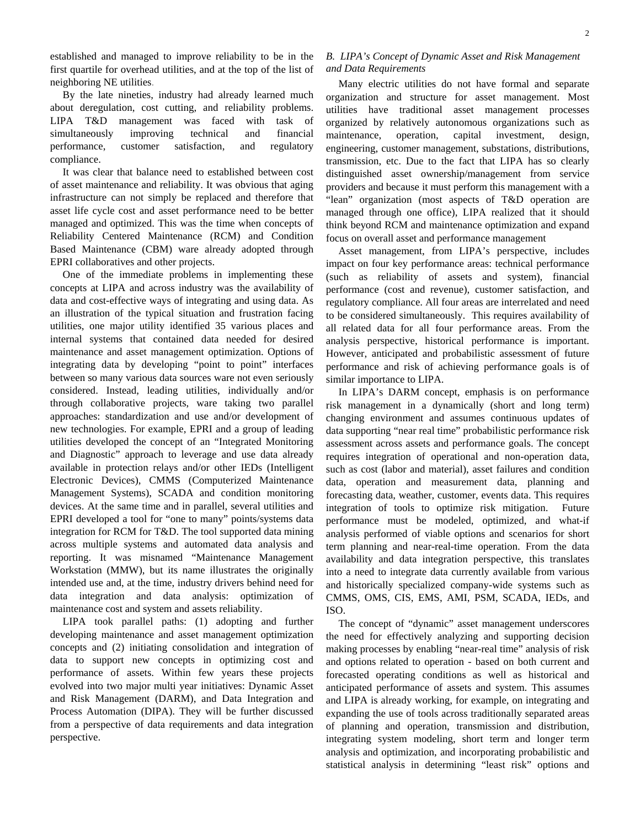established and managed to improve reliability to be in the first quartile for overhead utilities, and at the top of the list of neighboring NE utilities.

By the late nineties, industry had already learned much about deregulation, cost cutting, and reliability problems. LIPA T&D management was faced with task of simultaneously improving technical and financial performance, customer satisfaction, and regulatory compliance.

It was clear that balance need to established between cost of asset maintenance and reliability. It was obvious that aging infrastructure can not simply be replaced and therefore that asset life cycle cost and asset performance need to be better managed and optimized. This was the time when concepts of Reliability Centered Maintenance (RCM) and Condition Based Maintenance (CBM) ware already adopted through EPRI collaboratives and other projects.

One of the immediate problems in implementing these concepts at LIPA and across industry was the availability of data and cost-effective ways of integrating and using data. As an illustration of the typical situation and frustration facing utilities, one major utility identified 35 various places and internal systems that contained data needed for desired maintenance and asset management optimization. Options of integrating data by developing "point to point" interfaces between so many various data sources ware not even seriously considered. Instead, leading utilities, individually and/or through collaborative projects, ware taking two parallel approaches: standardization and use and/or development of new technologies. For example, EPRI and a group of leading utilities developed the concept of an "Integrated Monitoring and Diagnostic" approach to leverage and use data already available in protection relays and/or other IEDs (Intelligent Electronic Devices), CMMS (Computerized Maintenance Management Systems), SCADA and condition monitoring devices. At the same time and in parallel, several utilities and EPRI developed a tool for "one to many" points/systems data integration for RCM for T&D. The tool supported data mining across multiple systems and automated data analysis and reporting. It was misnamed "Maintenance Management Workstation (MMW), but its name illustrates the originally intended use and, at the time, industry drivers behind need for data integration and data analysis: optimization of maintenance cost and system and assets reliability.

LIPA took parallel paths: (1) adopting and further developing maintenance and asset management optimization concepts and (2) initiating consolidation and integration of data to support new concepts in optimizing cost and performance of assets. Within few years these projects evolved into two major multi year initiatives: Dynamic Asset and Risk Management (DARM), and Data Integration and Process Automation (DIPA). They will be further discussed from a perspective of data requirements and data integration perspective.

# *B. LIPA's Concept of Dynamic Asset and Risk Management and Data Requirements*

Many electric utilities do not have formal and separate organization and structure for asset management. Most utilities have traditional asset management processes organized by relatively autonomous organizations such as maintenance, operation, capital investment, design, engineering, customer management, substations, distributions, transmission, etc. Due to the fact that LIPA has so clearly distinguished asset ownership/management from service providers and because it must perform this management with a "lean" organization (most aspects of T&D operation are managed through one office), LIPA realized that it should think beyond RCM and maintenance optimization and expand focus on overall asset and performance management

Asset management, from LIPA's perspective, includes impact on four key performance areas: technical performance (such as reliability of assets and system), financial performance (cost and revenue), customer satisfaction, and regulatory compliance. All four areas are interrelated and need to be considered simultaneously. This requires availability of all related data for all four performance areas. From the analysis perspective, historical performance is important. However, anticipated and probabilistic assessment of future performance and risk of achieving performance goals is of similar importance to LIPA.

In LIPA's DARM concept, emphasis is on performance risk management in a dynamically (short and long term) changing environment and assumes continuous updates of data supporting "near real time" probabilistic performance risk assessment across assets and performance goals. The concept requires integration of operational and non-operation data, such as cost (labor and material), asset failures and condition data, operation and measurement data, planning and forecasting data, weather, customer, events data. This requires integration of tools to optimize risk mitigation. Future performance must be modeled, optimized, and what-if analysis performed of viable options and scenarios for short term planning and near-real-time operation. From the data availability and data integration perspective, this translates into a need to integrate data currently available from various and historically specialized company-wide systems such as CMMS, OMS, CIS, EMS, AMI, PSM, SCADA, IEDs, and ISO.

The concept of "dynamic" asset management underscores the need for effectively analyzing and supporting decision making processes by enabling "near-real time" analysis of risk and options related to operation - based on both current and forecasted operating conditions as well as historical and anticipated performance of assets and system. This assumes and LIPA is already working, for example, on integrating and expanding the use of tools across traditionally separated areas of planning and operation, transmission and distribution, integrating system modeling, short term and longer term analysis and optimization, and incorporating probabilistic and statistical analysis in determining "least risk" options and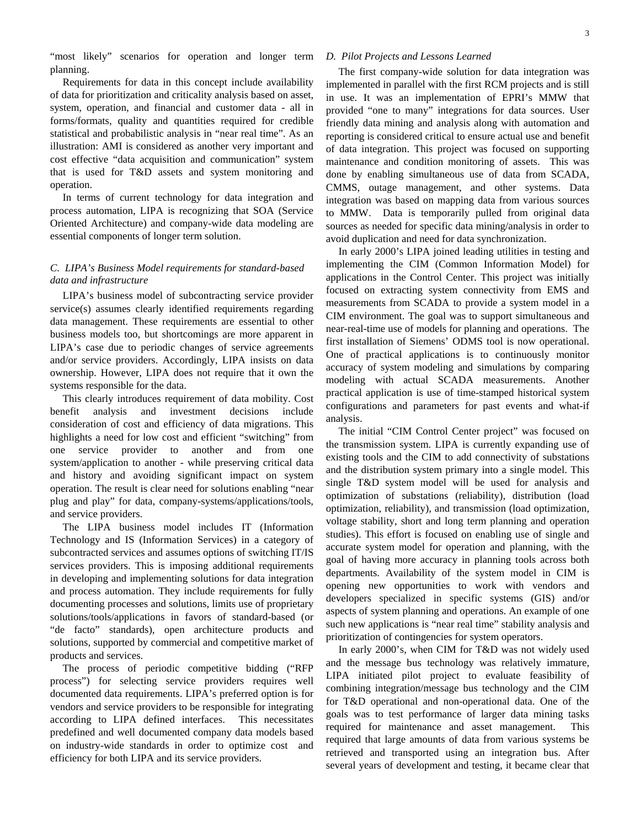"most likely" scenarios for operation and longer term planning.

Requirements for data in this concept include availability of data for prioritization and criticality analysis based on asset, system, operation, and financial and customer data - all in forms/formats, quality and quantities required for credible statistical and probabilistic analysis in "near real time". As an illustration: AMI is considered as another very important and cost effective "data acquisition and communication" system that is used for T&D assets and system monitoring and operation.

In terms of current technology for data integration and process automation, LIPA is recognizing that SOA (Service Oriented Architecture) and company-wide data modeling are essential components of longer term solution.

# *C. LIPA's Business Model requirements for standard-based data and infrastructure*

LIPA's business model of subcontracting service provider service(s) assumes clearly identified requirements regarding data management. These requirements are essential to other business models too, but shortcomings are more apparent in LIPA's case due to periodic changes of service agreements and/or service providers. Accordingly, LIPA insists on data ownership. However, LIPA does not require that it own the systems responsible for the data.

This clearly introduces requirement of data mobility. Cost benefit analysis and investment decisions include consideration of cost and efficiency of data migrations. This highlights a need for low cost and efficient "switching" from one service provider to another and from one system/application to another - while preserving critical data and history and avoiding significant impact on system operation. The result is clear need for solutions enabling "near plug and play" for data, company-systems/applications/tools, and service providers.

The LIPA business model includes IT (Information Technology and IS (Information Services) in a category of subcontracted services and assumes options of switching IT/IS services providers. This is imposing additional requirements in developing and implementing solutions for data integration and process automation. They include requirements for fully documenting processes and solutions, limits use of proprietary solutions/tools/applications in favors of standard-based (or "de facto" standards), open architecture products and solutions, supported by commercial and competitive market of products and services.

The process of periodic competitive bidding ("RFP process") for selecting service providers requires well documented data requirements. LIPA's preferred option is for vendors and service providers to be responsible for integrating according to LIPA defined interfaces. This necessitates predefined and well documented company data models based on industry-wide standards in order to optimize cost and efficiency for both LIPA and its service providers.

### *D. Pilot Projects and Lessons Learned*

The first company-wide solution for data integration was implemented in parallel with the first RCM projects and is still in use. It was an implementation of EPRI's MMW that provided "one to many" integrations for data sources. User friendly data mining and analysis along with automation and reporting is considered critical to ensure actual use and benefit of data integration. This project was focused on supporting maintenance and condition monitoring of assets. This was done by enabling simultaneous use of data from SCADA, CMMS, outage management, and other systems. Data integration was based on mapping data from various sources to MMW. Data is temporarily pulled from original data sources as needed for specific data mining/analysis in order to avoid duplication and need for data synchronization.

In early 2000's LIPA joined leading utilities in testing and implementing the CIM (Common Information Model) for applications in the Control Center. This project was initially focused on extracting system connectivity from EMS and measurements from SCADA to provide a system model in a CIM environment. The goal was to support simultaneous and near-real-time use of models for planning and operations. The first installation of Siemens' ODMS tool is now operational. One of practical applications is to continuously monitor accuracy of system modeling and simulations by comparing modeling with actual SCADA measurements. Another practical application is use of time-stamped historical system configurations and parameters for past events and what-if analysis.

The initial "CIM Control Center project" was focused on the transmission system. LIPA is currently expanding use of existing tools and the CIM to add connectivity of substations and the distribution system primary into a single model. This single T&D system model will be used for analysis and optimization of substations (reliability), distribution (load optimization, reliability), and transmission (load optimization, voltage stability, short and long term planning and operation studies). This effort is focused on enabling use of single and accurate system model for operation and planning, with the goal of having more accuracy in planning tools across both departments. Availability of the system model in CIM is opening new opportunities to work with vendors and developers specialized in specific systems (GIS) and/or aspects of system planning and operations. An example of one such new applications is "near real time" stability analysis and prioritization of contingencies for system operators.

In early 2000's, when CIM for T&D was not widely used and the message bus technology was relatively immature, LIPA initiated pilot project to evaluate feasibility of combining integration/message bus technology and the CIM for T&D operational and non-operational data. One of the goals was to test performance of larger data mining tasks required for maintenance and asset management. This required that large amounts of data from various systems be retrieved and transported using an integration bus. After several years of development and testing, it became clear that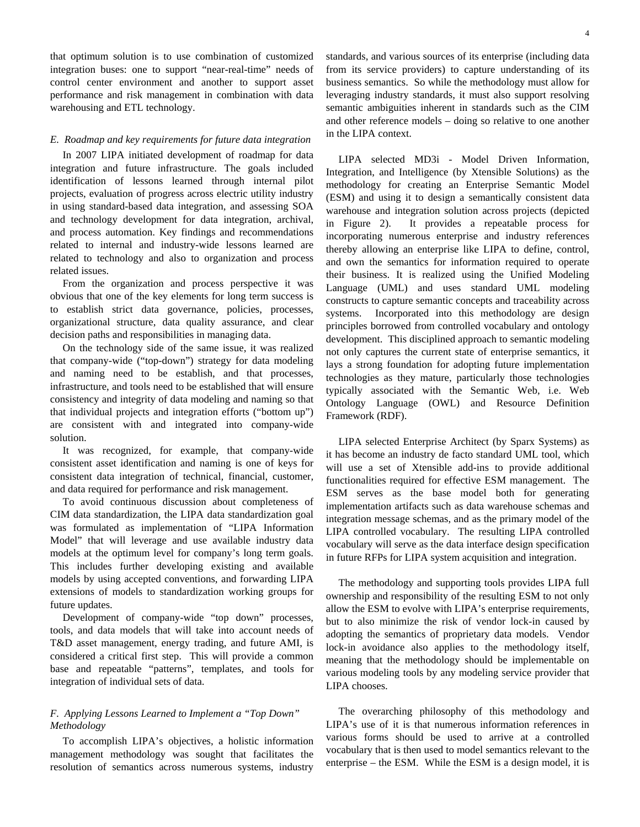that optimum solution is to use combination of customized integration buses: one to support "near-real-time" needs of control center environment and another to support asset performance and risk management in combination with data warehousing and ETL technology.

### *E. Roadmap and key requirements for future data integration*

In 2007 LIPA initiated development of roadmap for data integration and future infrastructure. The goals included identification of lessons learned through internal pilot projects, evaluation of progress across electric utility industry in using standard-based data integration, and assessing SOA and technology development for data integration, archival, and process automation. Key findings and recommendations related to internal and industry-wide lessons learned are related to technology and also to organization and process related issues.

From the organization and process perspective it was obvious that one of the key elements for long term success is to establish strict data governance, policies, processes, organizational structure, data quality assurance, and clear decision paths and responsibilities in managing data.

On the technology side of the same issue, it was realized that company-wide ("top-down") strategy for data modeling and naming need to be establish, and that processes, infrastructure, and tools need to be established that will ensure consistency and integrity of data modeling and naming so that that individual projects and integration efforts ("bottom up") are consistent with and integrated into company-wide solution.

It was recognized, for example, that company-wide consistent asset identification and naming is one of keys for consistent data integration of technical, financial, customer, and data required for performance and risk management.

To avoid continuous discussion about completeness of CIM data standardization, the LIPA data standardization goal was formulated as implementation of "LIPA Information Model" that will leverage and use available industry data models at the optimum level for company's long term goals. This includes further developing existing and available models by using accepted conventions, and forwarding LIPA extensions of models to standardization working groups for future updates.

Development of company-wide "top down" processes, tools, and data models that will take into account needs of T&D asset management, energy trading, and future AMI, is considered a critical first step. This will provide a common base and repeatable "patterns", templates, and tools for integration of individual sets of data.

## *F. Applying Lessons Learned to Implement a "Top Down" Methodology*

To accomplish LIPA's objectives, a holistic information management methodology was sought that facilitates the resolution of semantics across numerous systems, industry standards, and various sources of its enterprise (including data from its service providers) to capture understanding of its business semantics. So while the methodology must allow for leveraging industry standards, it must also support resolving semantic ambiguities inherent in standards such as the CIM and other reference models – doing so relative to one another in the LIPA context.

LIPA selected MD3i - Model Driven Information, Integration, and Intelligence (by Xtensible Solutions) as the methodology for creating an Enterprise Semantic Model (ESM) and using it to design a semantically consistent data warehouse and integration solution across projects (depicted in Figure 2). It provides a repeatable process for incorporating numerous enterprise and industry references thereby allowing an enterprise like LIPA to define, control, and own the semantics for information required to operate their business. It is realized using the Unified Modeling Language (UML) and uses standard UML modeling constructs to capture semantic concepts and traceability across systems. Incorporated into this methodology are design principles borrowed from controlled vocabulary and ontology development. This disciplined approach to semantic modeling not only captures the current state of enterprise semantics, it lays a strong foundation for adopting future implementation technologies as they mature, particularly those technologies typically associated with the Semantic Web, i.e. Web Ontology Language (OWL) and Resource Definition Framework (RDF).

LIPA selected Enterprise Architect (by Sparx Systems) as it has become an industry de facto standard UML tool, which will use a set of Xtensible add-ins to provide additional functionalities required for effective ESM management. The ESM serves as the base model both for generating implementation artifacts such as data warehouse schemas and integration message schemas, and as the primary model of the LIPA controlled vocabulary. The resulting LIPA controlled vocabulary will serve as the data interface design specification in future RFPs for LIPA system acquisition and integration.

The methodology and supporting tools provides LIPA full ownership and responsibility of the resulting ESM to not only allow the ESM to evolve with LIPA's enterprise requirements, but to also minimize the risk of vendor lock-in caused by adopting the semantics of proprietary data models. Vendor lock-in avoidance also applies to the methodology itself, meaning that the methodology should be implementable on various modeling tools by any modeling service provider that LIPA chooses.

The overarching philosophy of this methodology and LIPA's use of it is that numerous information references in various forms should be used to arrive at a controlled vocabulary that is then used to model semantics relevant to the enterprise – the ESM. While the ESM is a design model, it is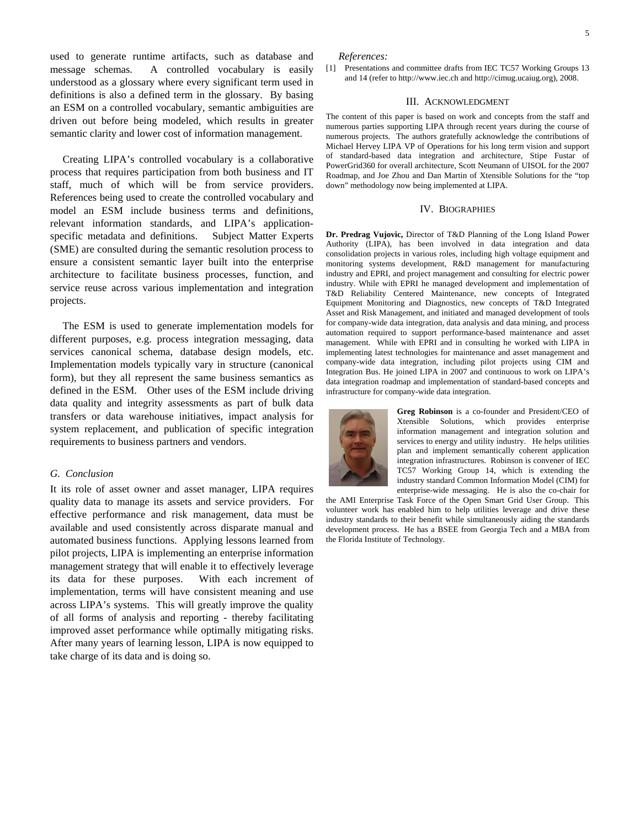used to generate runtime artifacts, such as database and message schemas. A controlled vocabulary is easily understood as a glossary where every significant term used in definitions is also a defined term in the glossary. By basing an ESM on a controlled vocabulary, semantic ambiguities are driven out before being modeled, which results in greater semantic clarity and lower cost of information management.

Creating LIPA's controlled vocabulary is a collaborative process that requires participation from both business and IT staff, much of which will be from service providers. References being used to create the controlled vocabulary and model an ESM include business terms and definitions, relevant information standards, and LIPA's applicationspecific metadata and definitions. Subject Matter Experts (SME) are consulted during the semantic resolution process to ensure a consistent semantic layer built into the enterprise architecture to facilitate business processes, function, and service reuse across various implementation and integration projects.

The ESM is used to generate implementation models for different purposes, e.g. process integration messaging, data services canonical schema, database design models, etc. Implementation models typically vary in structure (canonical form), but they all represent the same business semantics as defined in the ESM. Other uses of the ESM include driving data quality and integrity assessments as part of bulk data transfers or data warehouse initiatives, impact analysis for system replacement, and publication of specific integration requirements to business partners and vendors.

#### *G. Conclusion*

It its role of asset owner and asset manager, LIPA requires quality data to manage its assets and service providers. For effective performance and risk management, data must be available and used consistently across disparate manual and automated business functions. Applying lessons learned from pilot projects, LIPA is implementing an enterprise information management strategy that will enable it to effectively leverage its data for these purposes. With each increment of implementation, terms will have consistent meaning and use across LIPA's systems. This will greatly improve the quality of all forms of analysis and reporting - thereby facilitating improved asset performance while optimally mitigating risks. After many years of learning lesson, LIPA is now equipped to take charge of its data and is doing so.

*References:* 

[1] Presentations and committee drafts from IEC TC57 Working Groups 13 and 14 (refer to http://www.iec.ch and http://cimug.ucaiug.org), 2008.

#### III. ACKNOWLEDGMENT

The content of this paper is based on work and concepts from the staff and numerous parties supporting LIPA through recent years during the course of numerous projects. The authors gratefully acknowledge the contributions of Michael Hervey LIPA VP of Operations for his long term vision and support of standard-based data integration and architecture, Stipe Fustar of PowerGrid360 for overall architecture, Scott Neumann of UISOL for the 2007 Roadmap, and Joe Zhou and Dan Martin of Xtensible Solutions for the "top down" methodology now being implemented at LIPA.

#### IV. BIOGRAPHIES

**Dr. Predrag Vujovic,** Director of T&D Planning of the Long Island Power Authority (LIPA), has been involved in data integration and data consolidation projects in various roles, including high voltage equipment and monitoring systems development, R&D management for manufacturing industry and EPRI, and project management and consulting for electric power industry. While with EPRI he managed development and implementation of T&D Reliability Centered Maintenance, new concepts of Integrated Equipment Monitoring and Diagnostics, new concepts of T&D Integrated Asset and Risk Management, and initiated and managed development of tools for company-wide data integration, data analysis and data mining, and process automation required to support performance-based maintenance and asset management. While with EPRI and in consulting he worked with LIPA in implementing latest technologies for maintenance and asset management and company-wide data integration, including pilot projects using CIM and Integration Bus. He joined LIPA in 2007 and continuous to work on LIPA's data integration roadmap and implementation of standard-based concepts and infrastructure for company-wide data integration.



**Greg Robinson** is a co-founder and President/CEO of Xtensible Solutions, which provides enterprise information management and integration solution and services to energy and utility industry. He helps utilities plan and implement semantically coherent application integration infrastructures. Robinson is convener of IEC TC57 Working Group 14, which is extending the industry standard Common Information Model (CIM) for enterprise-wide messaging. He is also the co-chair for

the AMI Enterprise Task Force of the Open Smart Grid User Group. This volunteer work has enabled him to help utilities leverage and drive these industry standards to their benefit while simultaneously aiding the standards development process. He has a BSEE from Georgia Tech and a MBA from the Florida Institute of Technology.